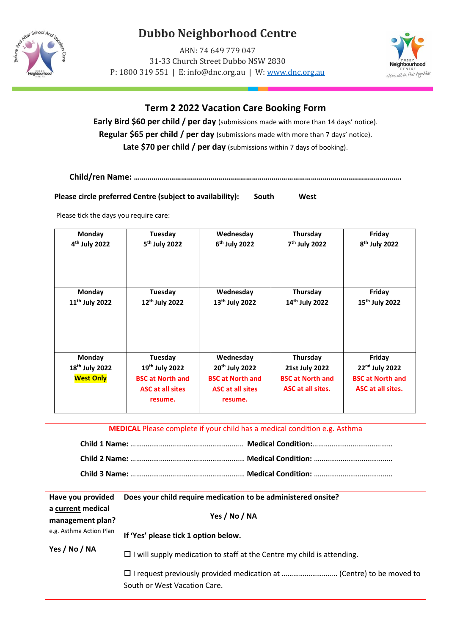

# **Dubbo Neighborhood Centre**

ABN: 74 649 779 047 31-33 Church Street Dubbo NSW 2830 P: 1800 319 551 | E: info@dnc.org.au | W: [www.dnc.org.au](http://www.dnc.org.au/)



### **Term 2 2022 Vacation Care Booking Form**

**Early Bird \$60 per child / per day** (submissions made with more than 14 days' notice). **Regular \$65 per child / per day** (submissions made with more than 7 days' notice). Late \$70 per child / per day (submissions within 7 days of booking).

**Child/ren Name: ……………………………………………………………………………………………………………………….**

Please circle preferred Centre (subject to availability): South West

Please tick the days you require care:

I

| Monday                     | Tuesday                    | Wednesday                  | Thursday                  | Friday                    |
|----------------------------|----------------------------|----------------------------|---------------------------|---------------------------|
| 4 <sup>th</sup> July 2022  | 5 <sup>th</sup> July 2022  | 6 <sup>th</sup> July 2022  | 7 <sup>th</sup> July 2022 | 8 <sup>th</sup> July 2022 |
|                            |                            |                            |                           |                           |
|                            |                            |                            |                           |                           |
| Monday                     | Tuesday                    | Wednesday                  | Thursday                  | Friday                    |
| 11 <sup>th</sup> July 2022 | 12 <sup>th</sup> July 2022 | 13 <sup>th</sup> July 2022 | 14th July 2022            | 15th July 2022            |
|                            |                            |                            |                           |                           |
|                            |                            |                            |                           |                           |
| Monday                     | Tuesday                    | Wednesday                  | Thursday                  | Friday                    |
| 18 <sup>th</sup> July 2022 | 19 <sup>th</sup> July 2022 | 20 <sup>th</sup> July 2022 | 21st July 2022            | 22nd July 2022            |
| <b>West Only</b>           | <b>BSC at North and</b>    | <b>BSC at North and</b>    | <b>BSC at North and</b>   | <b>BSC at North and</b>   |
|                            | <b>ASC at all sites</b>    | <b>ASC at all sites</b>    | ASC at all sites.         | <b>ASC at all sites.</b>  |
|                            | resume.                    | resume.                    |                           |                           |

| <b>MEDICAL</b> Please complete if your child has a medical condition e.g. Asthma |                                                                               |  |  |  |  |  |
|----------------------------------------------------------------------------------|-------------------------------------------------------------------------------|--|--|--|--|--|
|                                                                                  |                                                                               |  |  |  |  |  |
|                                                                                  |                                                                               |  |  |  |  |  |
|                                                                                  |                                                                               |  |  |  |  |  |
|                                                                                  |                                                                               |  |  |  |  |  |
| Have you provided<br>a current medical                                           | Does your child require medication to be administered onsite?                 |  |  |  |  |  |
| management plan?<br>e.g. Asthma Action Plan<br>Yes / No / NA                     | Yes / No / NA                                                                 |  |  |  |  |  |
|                                                                                  | If 'Yes' please tick 1 option below.                                          |  |  |  |  |  |
|                                                                                  | $\Box$ I will supply medication to staff at the Centre my child is attending. |  |  |  |  |  |
|                                                                                  | South or West Vacation Care.                                                  |  |  |  |  |  |
|                                                                                  |                                                                               |  |  |  |  |  |